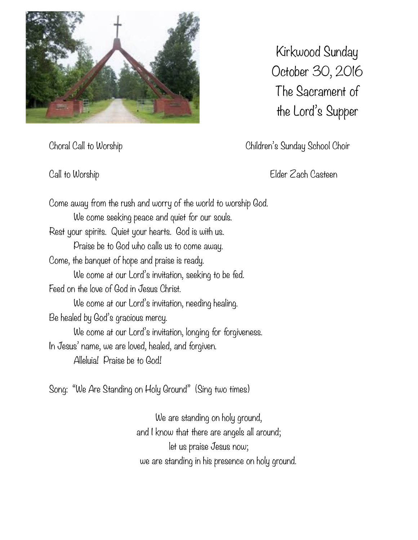

Kirkwood Sunday October 30, 2016 The Sacrament of the Lord's Supper

Choral Call to Worship Children's Sunday School Choir

Call to Worship Elder Zach Casteen

Come away from the rush and worry of the world to worship God. We come seeking peace and quiet for our souls. Rest your spirits. Quiet your hearts. God is with us. Praise be to God who calls us to come away. Come, the banquet of hope and praise is ready. We come at our Lord's invitation, seeking to be fed. Feed on the love of God in Jesus Christ. We come at our Lord's invitation, needing healing. Be healed by God's gracious mercy. We come at our Lord's invitation, longing for forgiveness. In Jesus' name, we are loved, healed, and forgiven. Alleluia! Praise be to God!

Song: "We Are Standing on Holy Ground" (Sing two times)

We are standing on holy ground, and I know that there are angels all around; let us praise Jesus now; we are standing in his presence on holy ground.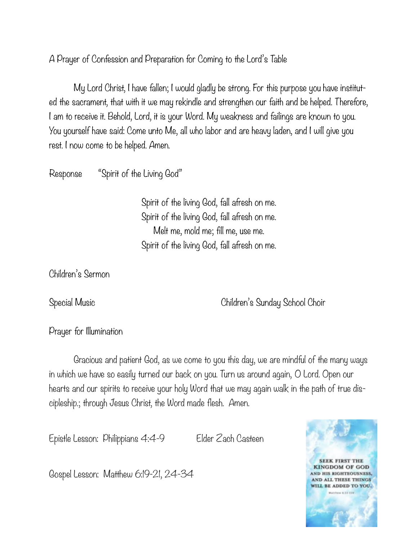A Prayer of Confession and Preparation for Coming to the Lord's Table

 My Lord Christ, I have fallen; I would gladly be strong. For this purpose you have instituted the sacrament, that with it we may rekindle and strengthen our faith and be helped. Therefore, I am to receive it. Behold, Lord, it is your Word. My weakness and failings are known to you. You yourself have said: Come unto Me, all who labor and are heavy laden, and I will give you rest. I now come to be helped. Amen.

Response "Spirit of the Living God"

Spirit of the living God, fall afresh on me. Spirit of the living God, fall afresh on me. Melt me, mold me; fill me, use me. Spirit of the living God, fall afresh on me.

Children's Sermon

Special Music Children's Sunday School Choir

Prayer for Illumination

 Gracious and patient God, as we come to you this day, we are mindful of the many ways in which we have so easily turned our back on you. Turn us around again, O Lord. Open our hearts and our spirits to receive your holy Word that we may again walk in the path of true discipleship.; through Jesus Christ, the Word made flesh. Amen.

Epistle Lesson: Philippians 4:4-9 Elder Zach Casteen

Gospel Lesson: Matthew 6:19-21, 24-34

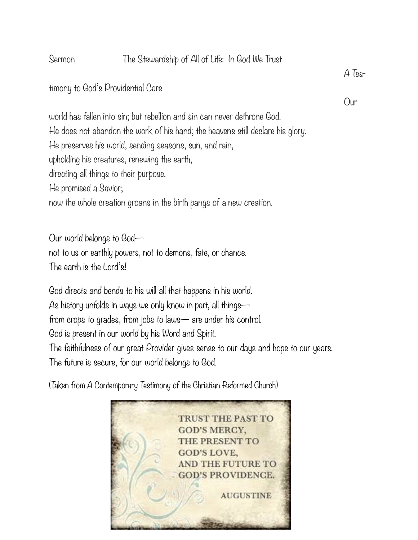## Sermon The Stewardship of All of Life: In God We Trust

A Tes-

Our

timony to God's Providential Care

world has fallen into sin; but rebellion and sin can never dethrone God. He does not abandon the work of his hand; the heavens still declare his glory. He preserves his world, sending seasons, sun, and rain, upholding his creatures, renewing the earth, directing all things to their purpose. He promised a Savior; now the whole creation groans in the birth pangs of a new creation.

Our world belongs to God not to us or earthly powers, not to demons, fate, or chance. The earth is the Lord's!

God directs and bends to his will all that happens in his world. As history unfolds in ways we only know in part, all things from crops to grades, from jobs to laws— are under his control. God is present in our world by his Word and Spirit. The faithfulness of our great Provider gives sense to our days and hope to our years. The future is secure, for our world belongs to God.

(Taken from A Contemporary Testimony of the Christian Reformed Church)

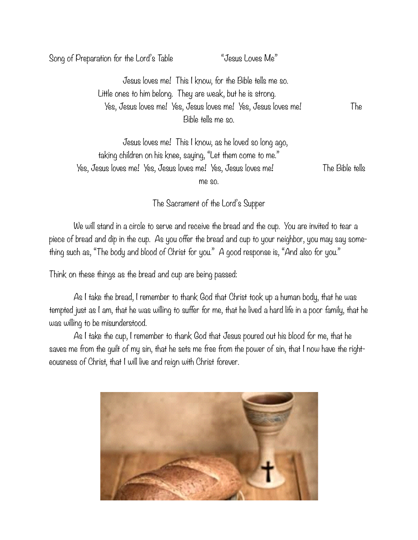Song of Preparation for the Lord's Table "Jesus Loves Me"

 Jesus loves me! This I know, for the Bible tells me so. Little ones to him belong. They are weak, but he is strong. Yes, Jesus loves me! Yes, Jesus loves me! Yes, Jesus loves me! The Bible tells me so.

 Jesus loves me! This I know, as he loved so long ago, taking children on his knee, saying, "Let them come to me." Yes, Jesus loves me! Yes, Jesus loves me! Yes, Jesus loves me! The Bible tells me so.

The Sacrament of the Lord's Supper

 We will stand in a circle to serve and receive the bread and the cup. You are invited to tear a piece of bread and dip in the cup. As you offer the bread and cup to your neighbor, you may say something such as, "The body and blood of Christ for you." A good response is, "And also for you."

Think on these things as the bread and cup are being passed:

 As I take the bread, I remember to thank God that Christ took up a human body, that he was tempted just as I am, that he was willing to suffer for me, that he lived a hard life in a poor family, that he was willing to be misunderstood.

 As I take the cup, I remember to thank God that Jesus poured out his blood for me, that he saves me from the guilt of my sin, that he sets me free from the power of sin, that I now have the righteousness of Christ, that I will live and reign with Christ forever.